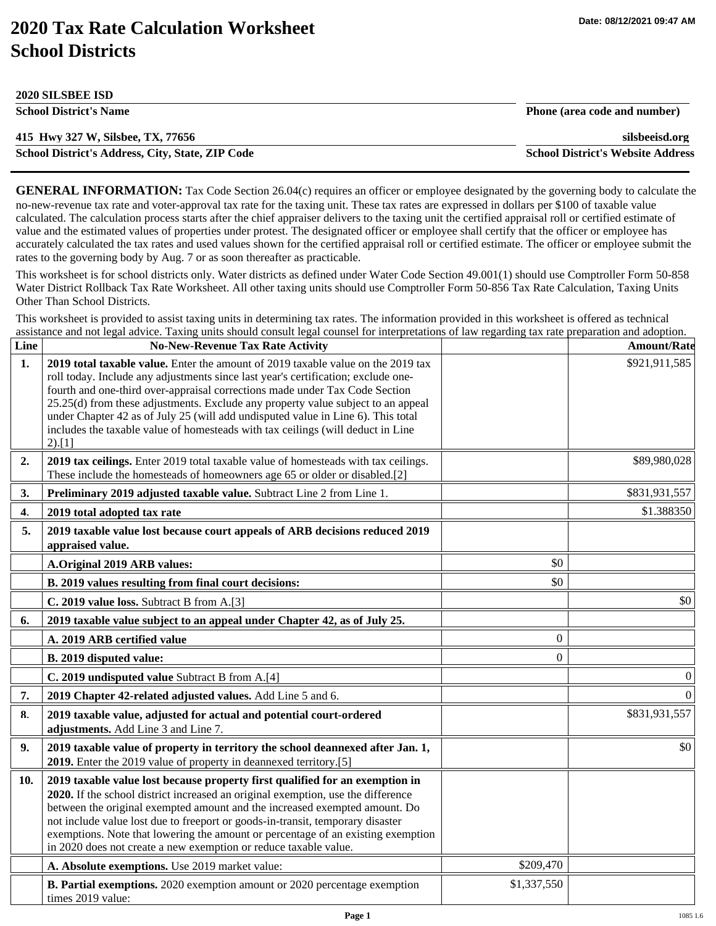## **2020 Tax Rate Calculation Worksheet School Districts**

**2020 SILSBEE ISD** 

| 2020 SILSBEE ISD                                 |                                          |
|--------------------------------------------------|------------------------------------------|
| <b>School District's Name</b>                    | Phone (area code and number)             |
| 415 Hwy 327 W, Silsbee, TX, 77656                | silsbeeisd.org                           |
| School District's Address, City, State, ZIP Code | <b>School District's Website Address</b> |

**GENERAL INFORMATION:** Tax Code Section 26.04(c) requires an officer or employee designated by the governing body to calculate the no-new-revenue tax rate and voter-approval tax rate for the taxing unit. These tax rates are expressed in dollars per \$100 of taxable value calculated. The calculation process starts after the chief appraiser delivers to the taxing unit the certified appraisal roll or certified estimate of value and the estimated values of properties under protest. The designated officer or employee shall certify that the officer or employee has accurately calculated the tax rates and used values shown for the certified appraisal roll or certified estimate. The officer or employee submit the rates to the governing body by Aug. 7 or as soon thereafter as practicable.

This worksheet is for school districts only. Water districts as defined under Water Code Section 49.001(1) should use Comptroller Form 50-858 Water District Rollback Tax Rate Worksheet. All other taxing units should use Comptroller Form 50-856 Tax Rate Calculation, Taxing Units Other Than School Districts.

This worksheet is provided to assist taxing units in determining tax rates. The information provided in this worksheet is offered as technical assistance and not legal advice. Taxing units should consult legal counsel for interpretations of law regarding tax rate preparation and adoption.

| Line           | <b>No-New-Revenue Tax Rate Activity</b>                                                                                                                                                                                                                                                                                                                                                                                                                                                                                   |             | <b>Amount/Rate</b> |
|----------------|---------------------------------------------------------------------------------------------------------------------------------------------------------------------------------------------------------------------------------------------------------------------------------------------------------------------------------------------------------------------------------------------------------------------------------------------------------------------------------------------------------------------------|-------------|--------------------|
| 1 <sub>1</sub> | 2019 total taxable value. Enter the amount of 2019 taxable value on the 2019 tax<br>roll today. Include any adjustments since last year's certification; exclude one-<br>fourth and one-third over-appraisal corrections made under Tax Code Section<br>25.25(d) from these adjustments. Exclude any property value subject to an appeal<br>under Chapter 42 as of July 25 (will add undisputed value in Line 6). This total<br>includes the taxable value of homesteads with tax ceilings (will deduct in Line<br>2).[1] |             | \$921,911,585      |
| 2.             | 2019 tax ceilings. Enter 2019 total taxable value of homesteads with tax ceilings.<br>These include the homesteads of homeowners age 65 or older or disabled.[2]                                                                                                                                                                                                                                                                                                                                                          |             | \$89,980,028       |
| 3.             | Preliminary 2019 adjusted taxable value. Subtract Line 2 from Line 1.                                                                                                                                                                                                                                                                                                                                                                                                                                                     |             | \$831,931,557      |
| 4.             | 2019 total adopted tax rate                                                                                                                                                                                                                                                                                                                                                                                                                                                                                               |             | \$1.388350         |
| 5.             | 2019 taxable value lost because court appeals of ARB decisions reduced 2019<br>appraised value.                                                                                                                                                                                                                                                                                                                                                                                                                           |             |                    |
|                | A.Original 2019 ARB values:                                                                                                                                                                                                                                                                                                                                                                                                                                                                                               | \$0         |                    |
|                | B. 2019 values resulting from final court decisions:                                                                                                                                                                                                                                                                                                                                                                                                                                                                      | \$0         |                    |
|                | C. 2019 value loss. Subtract B from A.[3]                                                                                                                                                                                                                                                                                                                                                                                                                                                                                 |             | \$0                |
| 6.             | 2019 taxable value subject to an appeal under Chapter 42, as of July 25.                                                                                                                                                                                                                                                                                                                                                                                                                                                  |             |                    |
|                | A. 2019 ARB certified value                                                                                                                                                                                                                                                                                                                                                                                                                                                                                               | $\theta$    |                    |
|                | B. 2019 disputed value:                                                                                                                                                                                                                                                                                                                                                                                                                                                                                                   | 0           |                    |
|                | C. 2019 undisputed value Subtract B from A.[4]                                                                                                                                                                                                                                                                                                                                                                                                                                                                            |             | $\theta$           |
| 7.             | 2019 Chapter 42-related adjusted values. Add Line 5 and 6.                                                                                                                                                                                                                                                                                                                                                                                                                                                                |             | $\boldsymbol{0}$   |
| 8.             | 2019 taxable value, adjusted for actual and potential court-ordered<br>adjustments. Add Line 3 and Line 7.                                                                                                                                                                                                                                                                                                                                                                                                                |             | \$831,931,557      |
| 9.             | 2019 taxable value of property in territory the school deannexed after Jan. 1,<br>2019. Enter the 2019 value of property in deannexed territory.[5]                                                                                                                                                                                                                                                                                                                                                                       |             | \$0                |
| 10.            | 2019 taxable value lost because property first qualified for an exemption in<br>2020. If the school district increased an original exemption, use the difference<br>between the original exempted amount and the increased exempted amount. Do<br>not include value lost due to freeport or goods-in-transit, temporary disaster<br>exemptions. Note that lowering the amount or percentage of an existing exemption<br>in 2020 does not create a new exemption or reduce taxable value.                                  |             |                    |
|                | A. Absolute exemptions. Use 2019 market value:                                                                                                                                                                                                                                                                                                                                                                                                                                                                            | \$209,470   |                    |
|                | B. Partial exemptions. 2020 exemption amount or 2020 percentage exemption<br>times 2019 value:                                                                                                                                                                                                                                                                                                                                                                                                                            | \$1,337,550 |                    |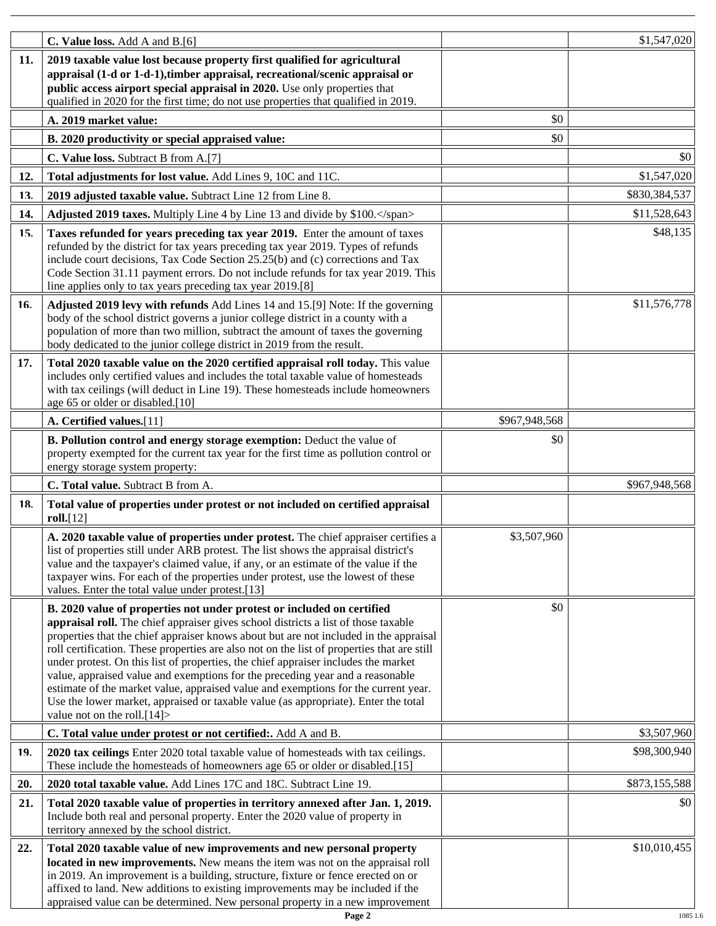|     | C. Value loss. Add A and B.[6]                                                                                                                                                                                                                                                                                                                                                                                                                                                                                                                                                                                                                                                                                                          |               | \$1,547,020   |
|-----|-----------------------------------------------------------------------------------------------------------------------------------------------------------------------------------------------------------------------------------------------------------------------------------------------------------------------------------------------------------------------------------------------------------------------------------------------------------------------------------------------------------------------------------------------------------------------------------------------------------------------------------------------------------------------------------------------------------------------------------------|---------------|---------------|
| 11. | 2019 taxable value lost because property first qualified for agricultural<br>appraisal (1-d or 1-d-1), timber appraisal, recreational/scenic appraisal or<br>public access airport special appraisal in 2020. Use only properties that<br>qualified in 2020 for the first time; do not use properties that qualified in 2019.                                                                                                                                                                                                                                                                                                                                                                                                           |               |               |
|     | A. 2019 market value:                                                                                                                                                                                                                                                                                                                                                                                                                                                                                                                                                                                                                                                                                                                   | \$0           |               |
|     | B. 2020 productivity or special appraised value:                                                                                                                                                                                                                                                                                                                                                                                                                                                                                                                                                                                                                                                                                        | \$0           |               |
|     | C. Value loss. Subtract B from A.[7]                                                                                                                                                                                                                                                                                                                                                                                                                                                                                                                                                                                                                                                                                                    |               | \$0           |
| 12. | Total adjustments for lost value. Add Lines 9, 10C and 11C.                                                                                                                                                                                                                                                                                                                                                                                                                                                                                                                                                                                                                                                                             |               | \$1,547,020   |
| 13. | 2019 adjusted taxable value. Subtract Line 12 from Line 8.                                                                                                                                                                                                                                                                                                                                                                                                                                                                                                                                                                                                                                                                              |               | \$830,384,537 |
| 14. | Adjusted 2019 taxes. Multiply Line 4 by Line 13 and divide by \$100.                                                                                                                                                                                                                                                                                                                                                                                                                                                                                                                                                                                                                                                                    |               | \$11,528,643  |
| 15. | Taxes refunded for years preceding tax year 2019. Enter the amount of taxes<br>refunded by the district for tax years preceding tax year 2019. Types of refunds<br>include court decisions, Tax Code Section 25.25(b) and (c) corrections and Tax<br>Code Section 31.11 payment errors. Do not include refunds for tax year 2019. This<br>line applies only to tax years preceding tax year 2019.[8]                                                                                                                                                                                                                                                                                                                                    |               | \$48,135      |
| 16. | Adjusted 2019 levy with refunds Add Lines 14 and 15.[9] Note: If the governing<br>body of the school district governs a junior college district in a county with a<br>population of more than two million, subtract the amount of taxes the governing<br>body dedicated to the junior college district in 2019 from the result.                                                                                                                                                                                                                                                                                                                                                                                                         |               | \$11,576,778  |
| 17. | Total 2020 taxable value on the 2020 certified appraisal roll today. This value<br>includes only certified values and includes the total taxable value of homesteads<br>with tax ceilings (will deduct in Line 19). These homesteads include homeowners<br>age 65 or older or disabled.[10]                                                                                                                                                                                                                                                                                                                                                                                                                                             |               |               |
|     | A. Certified values.[11]                                                                                                                                                                                                                                                                                                                                                                                                                                                                                                                                                                                                                                                                                                                | \$967,948,568 |               |
|     | B. Pollution control and energy storage exemption: Deduct the value of<br>property exempted for the current tax year for the first time as pollution control or<br>energy storage system property:                                                                                                                                                                                                                                                                                                                                                                                                                                                                                                                                      | \$0           |               |
|     | C. Total value. Subtract B from A.                                                                                                                                                                                                                                                                                                                                                                                                                                                                                                                                                                                                                                                                                                      |               | \$967,948,568 |
| 18. | Total value of properties under protest or not included on certified appraisal<br>roll.[12]                                                                                                                                                                                                                                                                                                                                                                                                                                                                                                                                                                                                                                             |               |               |
|     | A. 2020 taxable value of properties under protest. The chief appraiser certifies a<br>list of properties still under ARB protest. The list shows the appraisal district's<br>value and the taxpayer's claimed value, if any, or an estimate of the value if the<br>taxpayer wins. For each of the properties under protest, use the lowest of these<br>values. Enter the total value under protest.[13]                                                                                                                                                                                                                                                                                                                                 | \$3,507,960   |               |
|     | B. 2020 value of properties not under protest or included on certified<br>appraisal roll. The chief appraiser gives school districts a list of those taxable<br>properties that the chief appraiser knows about but are not included in the appraisal<br>roll certification. These properties are also not on the list of properties that are still<br>under protest. On this list of properties, the chief appraiser includes the market<br>value, appraised value and exemptions for the preceding year and a reasonable<br>estimate of the market value, appraised value and exemptions for the current year.<br>Use the lower market, appraised or taxable value (as appropriate). Enter the total<br>value not on the roll. $[14]$ | \$0           |               |
|     | C. Total value under protest or not certified:. Add A and B.                                                                                                                                                                                                                                                                                                                                                                                                                                                                                                                                                                                                                                                                            |               | \$3,507,960   |
| 19. | 2020 tax ceilings Enter 2020 total taxable value of homesteads with tax ceilings.<br>These include the homesteads of homeowners age 65 or older or disabled.[15]                                                                                                                                                                                                                                                                                                                                                                                                                                                                                                                                                                        |               | \$98,300,940  |
| 20. | 2020 total taxable value. Add Lines 17C and 18C. Subtract Line 19.                                                                                                                                                                                                                                                                                                                                                                                                                                                                                                                                                                                                                                                                      |               | \$873,155,588 |
| 21. | Total 2020 taxable value of properties in territory annexed after Jan. 1, 2019.<br>Include both real and personal property. Enter the 2020 value of property in<br>territory annexed by the school district.                                                                                                                                                                                                                                                                                                                                                                                                                                                                                                                            |               | \$0           |
| 22. | Total 2020 taxable value of new improvements and new personal property<br>located in new improvements. New means the item was not on the appraisal roll<br>in 2019. An improvement is a building, structure, fixture or fence erected on or<br>affixed to land. New additions to existing improvements may be included if the<br>appraised value can be determined. New personal property in a new improvement                                                                                                                                                                                                                                                                                                                          |               | \$10,010,455  |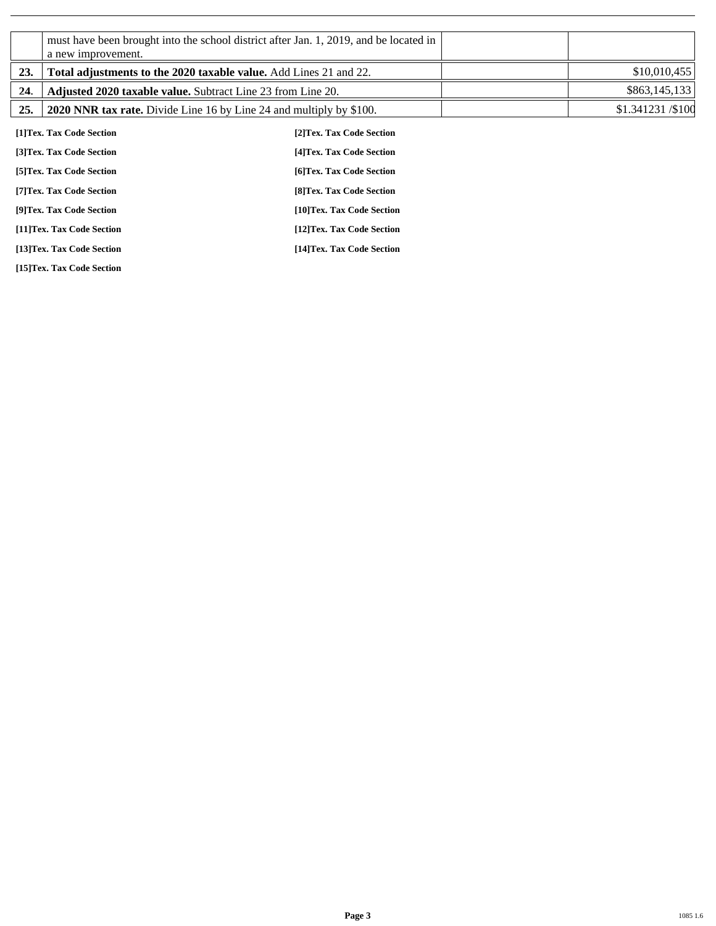|     | a new improvement.                                                  | must have been brought into the school district after Jan. 1, 2019, and be located in |                  |
|-----|---------------------------------------------------------------------|---------------------------------------------------------------------------------------|------------------|
| 23. | Total adjustments to the 2020 taxable value. Add Lines 21 and 22.   |                                                                                       | \$10,010,455     |
| 24. | <b>Adjusted 2020 taxable value.</b> Subtract Line 23 from Line 20.  |                                                                                       | \$863,145,133    |
| 25. | 2020 NNR tax rate. Divide Line 16 by Line 24 and multiply by \$100. |                                                                                       | \$1.341231/\$100 |
|     | [1]Tex. Tax Code Section                                            | [2]Tex. Tax Code Section                                                              |                  |
|     | [3]Tex. Tax Code Section                                            | [4] Tex. Tax Code Section                                                             |                  |
|     | [5] Tex. Tax Code Section                                           | [6]Tex. Tax Code Section                                                              |                  |
|     | [7] Tex. Tax Code Section                                           | [8] Tex. Tax Code Section                                                             |                  |
|     | [9]Tex. Tax Code Section                                            | [10]Tex. Tax Code Section                                                             |                  |
|     | [11]Tex. Tax Code Section                                           | [12] Tex. Tax Code Section                                                            |                  |
|     | [13]Tex. Tax Code Section                                           | [14] Tex. Tax Code Section                                                            |                  |

**[15]Tex. Tax Code Section**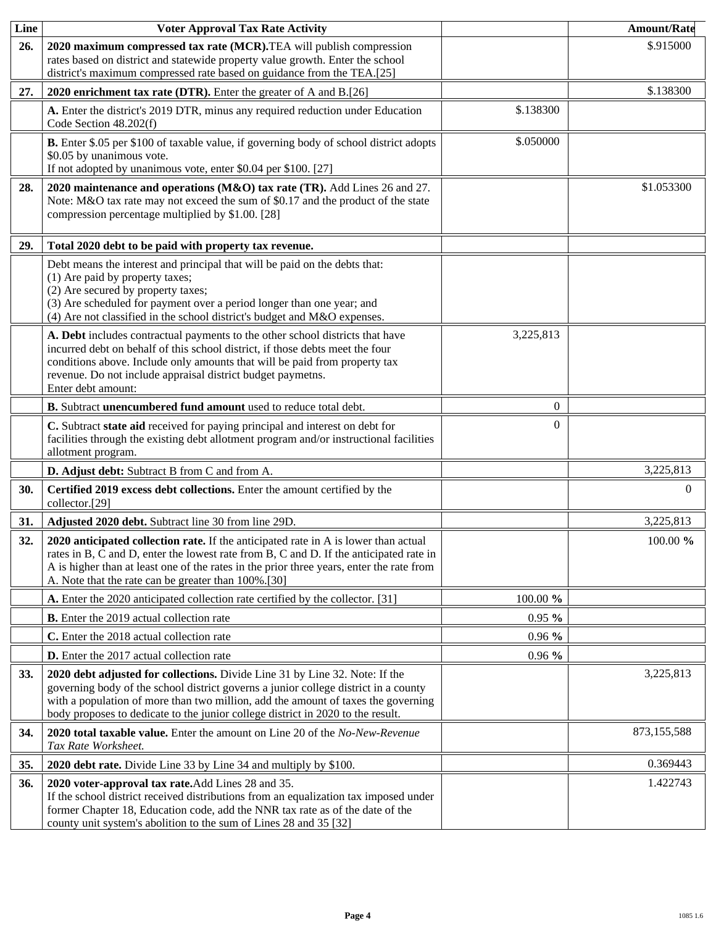| Line | <b>Voter Approval Tax Rate Activity</b>                                                                                                                                                                                                                                                                                                    |           | <b>Amount/Rate</b> |
|------|--------------------------------------------------------------------------------------------------------------------------------------------------------------------------------------------------------------------------------------------------------------------------------------------------------------------------------------------|-----------|--------------------|
| 26.  | 2020 maximum compressed tax rate (MCR). TEA will publish compression<br>rates based on district and statewide property value growth. Enter the school<br>district's maximum compressed rate based on guidance from the TEA.[25]                                                                                                            |           | \$.915000          |
| 27.  | 2020 enrichment tax rate (DTR). Enter the greater of A and B.[26]                                                                                                                                                                                                                                                                          |           | \$.138300          |
|      | A. Enter the district's 2019 DTR, minus any required reduction under Education<br>Code Section 48.202(f)                                                                                                                                                                                                                                   | \$.138300 |                    |
|      | B. Enter \$.05 per \$100 of taxable value, if governing body of school district adopts<br>\$0.05 by unanimous vote.<br>If not adopted by unanimous vote, enter \$0.04 per \$100. [27]                                                                                                                                                      | \$.050000 |                    |
| 28.  | 2020 maintenance and operations (M&O) tax rate (TR). Add Lines 26 and 27.<br>Note: M&O tax rate may not exceed the sum of \$0.17 and the product of the state<br>compression percentage multiplied by \$1.00. [28]                                                                                                                         |           | \$1.053300         |
| 29.  | Total 2020 debt to be paid with property tax revenue.                                                                                                                                                                                                                                                                                      |           |                    |
|      | Debt means the interest and principal that will be paid on the debts that:<br>(1) Are paid by property taxes;<br>(2) Are secured by property taxes;<br>(3) Are scheduled for payment over a period longer than one year; and<br>(4) Are not classified in the school district's budget and M&O expenses.                                   |           |                    |
|      | A. Debt includes contractual payments to the other school districts that have<br>incurred debt on behalf of this school district, if those debts meet the four<br>conditions above. Include only amounts that will be paid from property tax<br>revenue. Do not include appraisal district budget paymetns.<br>Enter debt amount:          | 3,225,813 |                    |
|      | B. Subtract unencumbered fund amount used to reduce total debt.                                                                                                                                                                                                                                                                            | $\theta$  |                    |
|      | C. Subtract state aid received for paying principal and interest on debt for<br>facilities through the existing debt allotment program and/or instructional facilities<br>allotment program.                                                                                                                                               | $\Omega$  |                    |
|      | D. Adjust debt: Subtract B from C and from A.                                                                                                                                                                                                                                                                                              |           | 3,225,813          |
| 30.  | Certified 2019 excess debt collections. Enter the amount certified by the<br>collector.[29]                                                                                                                                                                                                                                                |           | $\Omega$           |
| 31.  | Adjusted 2020 debt. Subtract line 30 from line 29D.                                                                                                                                                                                                                                                                                        |           | 3,225,813          |
| 32.  | 2020 anticipated collection rate. If the anticipated rate in A is lower than actual<br>rates in B, C and D, enter the lowest rate from B, C and D. If the anticipated rate in<br>A is higher than at least one of the rates in the prior three years, enter the rate from<br>A. Note that the rate can be greater than 100%.[30]           |           | 100.00 %           |
|      | A. Enter the 2020 anticipated collection rate certified by the collector. [31]                                                                                                                                                                                                                                                             | 100.00 %  |                    |
|      | <b>B.</b> Enter the 2019 actual collection rate                                                                                                                                                                                                                                                                                            | 0.95%     |                    |
|      | C. Enter the 2018 actual collection rate                                                                                                                                                                                                                                                                                                   | $0.96\%$  |                    |
|      | <b>D.</b> Enter the 2017 actual collection rate                                                                                                                                                                                                                                                                                            | $0.96\%$  |                    |
| 33.  | 2020 debt adjusted for collections. Divide Line 31 by Line 32. Note: If the<br>governing body of the school district governs a junior college district in a county<br>with a population of more than two million, add the amount of taxes the governing<br>body proposes to dedicate to the junior college district in 2020 to the result. |           | 3,225,813          |
| 34.  | 2020 total taxable value. Enter the amount on Line 20 of the No-New-Revenue<br>Tax Rate Worksheet.                                                                                                                                                                                                                                         |           | 873,155,588        |
| 35.  | 2020 debt rate. Divide Line 33 by Line 34 and multiply by \$100.                                                                                                                                                                                                                                                                           |           | 0.369443           |
| 36.  | 2020 voter-approval tax rate. Add Lines 28 and 35.<br>If the school district received distributions from an equalization tax imposed under<br>former Chapter 18, Education code, add the NNR tax rate as of the date of the<br>county unit system's abolition to the sum of Lines 28 and 35 [32]                                           |           | 1.422743           |